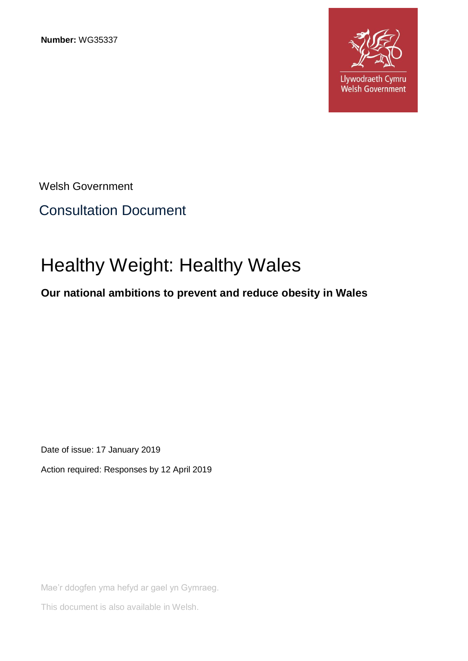**Number:** WG35337



Welsh Government

# Consultation Document

# Healthy Weight: Healthy Wales

# **Our national ambitions to prevent and reduce obesity in Wales**

Date of issue: 17 January 2019

Action required: Responses by 12 April 2019

Mae'r ddogfen yma hefyd ar gael yn Gymraeg.

This document is also available in Welsh.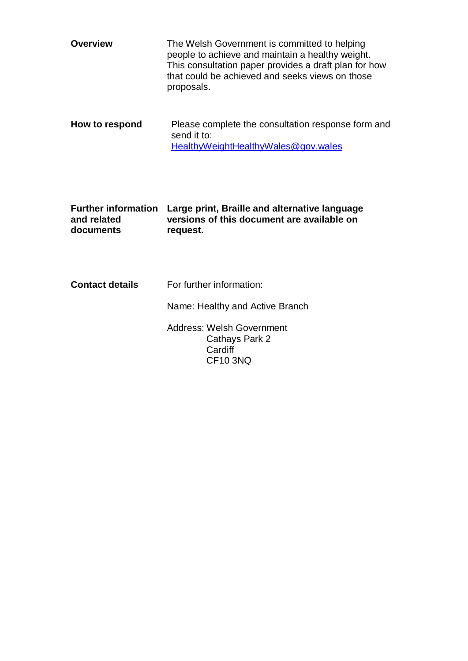| <b>Overview</b>                                        | The Welsh Government is committed to helping<br>people to achieve and maintain a healthy weight.<br>This consultation paper provides a draft plan for how<br>that could be achieved and seeks views on those<br>proposals. |
|--------------------------------------------------------|----------------------------------------------------------------------------------------------------------------------------------------------------------------------------------------------------------------------------|
| How to respond                                         | Please complete the consultation response form and<br>send it to:<br><u>HealthyWeightHealthyWales@gov.wales</u>                                                                                                            |
| <b>Further information</b><br>and related<br>documents | Large print, Braille and alternative language<br>versions of this document are available on<br>request.                                                                                                                    |
| <b>Contact details</b>                                 | For further information:                                                                                                                                                                                                   |
|                                                        | Name: Healthy and Active Branch                                                                                                                                                                                            |
|                                                        | Address: Welsh Government<br>Cathays Park 2                                                                                                                                                                                |

**Cardiff** CF10 3NQ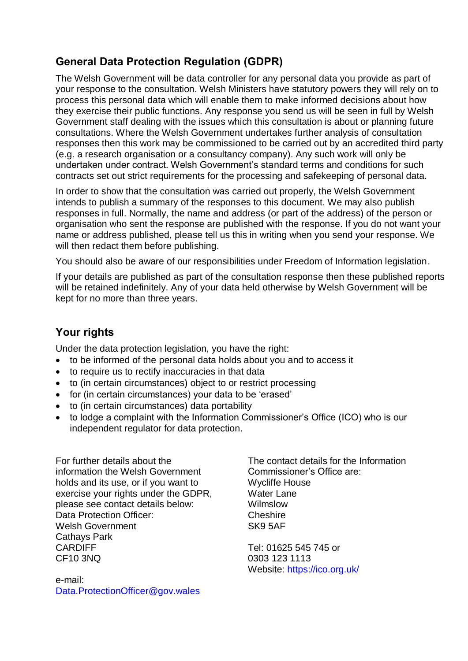# **General Data Protection Regulation (GDPR)**

The Welsh Government will be data controller for any personal data you provide as part of your response to the consultation. Welsh Ministers have statutory powers they will rely on to process this personal data which will enable them to make informed decisions about how they exercise their public functions. Any response you send us will be seen in full by Welsh Government staff dealing with the issues which this consultation is about or planning future consultations. Where the Welsh Government undertakes further analysis of consultation responses then this work may be commissioned to be carried out by an accredited third party (e.g. a research organisation or a consultancy company). Any such work will only be undertaken under contract. Welsh Government's standard terms and conditions for such contracts set out strict requirements for the processing and safekeeping of personal data.

In order to show that the consultation was carried out properly, the Welsh Government intends to publish a summary of the responses to this document. We may also publish responses in full. Normally, the name and address (or part of the address) of the person or organisation who sent the response are published with the response. If you do not want your name or address published, please tell us this in writing when you send your response. We will then redact them before publishing.

You should also be aware of our responsibilities under Freedom of Information legislation.

If your details are published as part of the consultation response then these published reports will be retained indefinitely. Any of your data held otherwise by Welsh Government will be kept for no more than three years.

# **Your rights**

Under the data protection legislation, you have the right:

- to be informed of the personal data holds about you and to access it
- to require us to rectify inaccuracies in that data
- to (in certain circumstances) object to or restrict processing
- for (in certain circumstances) your data to be 'erased'
- to (in certain circumstances) data portability
- to lodge a complaint with the Information Commissioner's Office (ICO) who is our independent regulator for data protection.

For further details about the information the Welsh Government holds and its use, or if you want to exercise your rights under the GDPR, please see contact details below: Data Protection Officer: Welsh Government Cathays Park CARDIFF CF10 3NQ

e-mail: [Data.ProtectionOfficer@gov.wales](mailto:Data.ProtectionOfficer@gov.wales) The contact details for the Information Commissioner's Office are: Wycliffe House Water Lane Wilmslow **Cheshire** SK9 5AF

Tel: 01625 545 745 or 0303 123 1113 Website:<https://ico.org.uk/>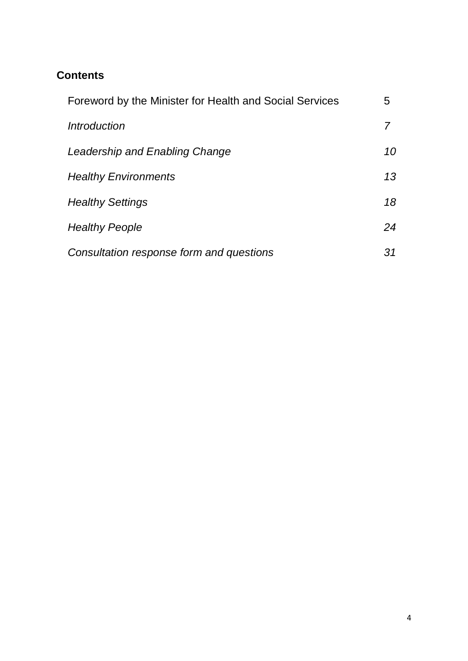# **Contents**

| Foreword by the Minister for Health and Social Services | 5  |
|---------------------------------------------------------|----|
| <i><u><b>Introduction</b></u></i>                       |    |
| Leadership and Enabling Change                          | 10 |
| <b>Healthy Environments</b>                             | 13 |
| <b>Healthy Settings</b>                                 | 18 |
| <b>Healthy People</b>                                   | 24 |
| Consultation response form and questions                | 31 |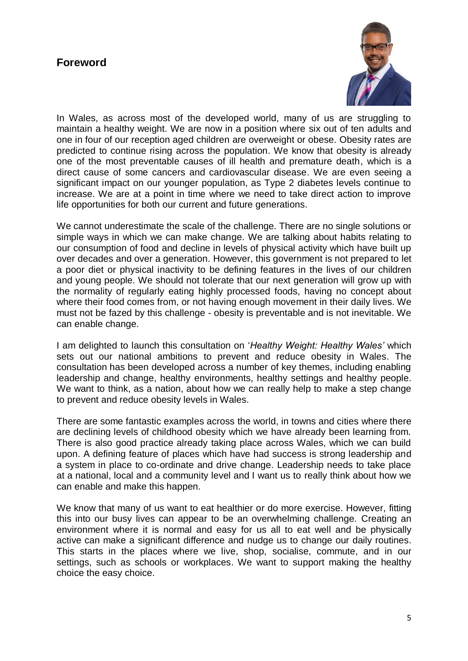# **Foreword**



In Wales, as across most of the developed world, many of us are struggling to maintain a healthy weight. We are now in a position where six out of ten adults and one in four of our reception aged children are overweight or obese. Obesity rates are predicted to continue rising across the population. We know that obesity is already one of the most preventable causes of ill health and premature death, which is a direct cause of some cancers and cardiovascular disease. We are even seeing a significant impact on our younger population, as Type 2 diabetes levels continue to increase. We are at a point in time where we need to take direct action to improve life opportunities for both our current and future generations.

We cannot underestimate the scale of the challenge. There are no single solutions or simple ways in which we can make change. We are talking about habits relating to our consumption of food and decline in levels of physical activity which have built up over decades and over a generation. However, this government is not prepared to let a poor diet or physical inactivity to be defining features in the lives of our children and young people. We should not tolerate that our next generation will grow up with the normality of regularly eating highly processed foods, having no concept about where their food comes from, or not having enough movement in their daily lives. We must not be fazed by this challenge - obesity is preventable and is not inevitable. We can enable change.

I am delighted to launch this consultation on '*Healthy Weight: Healthy Wales'* which sets out our national ambitions to prevent and reduce obesity in Wales. The consultation has been developed across a number of key themes, including enabling leadership and change, healthy environments, healthy settings and healthy people. We want to think, as a nation, about how we can really help to make a step change to prevent and reduce obesity levels in Wales.

There are some fantastic examples across the world, in towns and cities where there are declining levels of childhood obesity which we have already been learning from. There is also good practice already taking place across Wales, which we can build upon. A defining feature of places which have had success is strong leadership and a system in place to co-ordinate and drive change. Leadership needs to take place at a national, local and a community level and I want us to really think about how we can enable and make this happen.

We know that many of us want to eat healthier or do more exercise. However, fitting this into our busy lives can appear to be an overwhelming challenge. Creating an environment where it is normal and easy for us all to eat well and be physically active can make a significant difference and nudge us to change our daily routines. This starts in the places where we live, shop, socialise, commute, and in our settings, such as schools or workplaces. We want to support making the healthy choice the easy choice.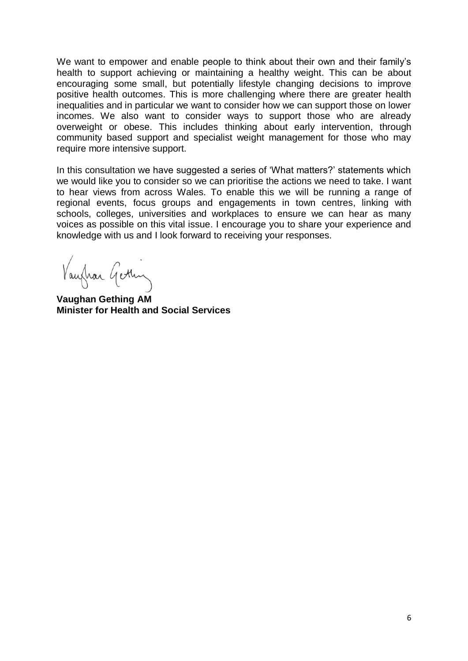We want to empower and enable people to think about their own and their family's health to support achieving or maintaining a healthy weight. This can be about encouraging some small, but potentially lifestyle changing decisions to improve positive health outcomes. This is more challenging where there are greater health inequalities and in particular we want to consider how we can support those on lower incomes. We also want to consider ways to support those who are already overweight or obese. This includes thinking about early intervention, through community based support and specialist weight management for those who may require more intensive support.

In this consultation we have suggested a series of 'What matters?' statements which we would like you to consider so we can prioritise the actions we need to take. I want to hear views from across Wales. To enable this we will be running a range of regional events, focus groups and engagements in town centres, linking with schools, colleges, universities and workplaces to ensure we can hear as many voices as possible on this vital issue. I encourage you to share your experience and knowledge with us and I look forward to receiving your responses.

Vaufrar Gettin

**Vaughan Gething AM Minister for Health and Social Services**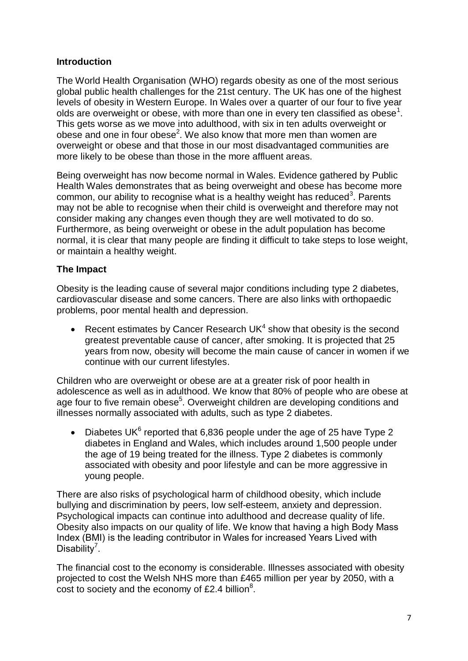# **Introduction**

The World Health Organisation (WHO) regards obesity as one of the most serious global public health challenges for the 21st century. The UK has one of the highest levels of obesity in Western Europe. In Wales over a quarter of our four to five year olds are overweight or obese, with more than one in every ten classified as obese<sup>1</sup>. This gets worse as we move into adulthood, with six in ten adults overweight or obese and one in four obese<sup>2</sup>. We also know that more men than women are overweight or obese and that those in our most disadvantaged communities are more likely to be obese than those in the more affluent areas.

Being overweight has now become normal in Wales. Evidence gathered by Public Health Wales demonstrates that as being overweight and obese has become more common, our ability to recognise what is a healthy weight has reduced<sup>3</sup>. Parents may not be able to recognise when their child is overweight and therefore may not consider making any changes even though they are well motivated to do so. Furthermore, as being overweight or obese in the adult population has become normal, it is clear that many people are finding it difficult to take steps to lose weight, or maintain a healthy weight.

# **The Impact**

Obesity is the leading cause of several major conditions including type 2 diabetes, cardiovascular disease and some cancers. There are also links with orthopaedic problems, poor mental health and depression.

• Recent estimates by Cancer Research UK $4$  show that obesity is the second greatest preventable cause of cancer, after smoking. It is projected that 25 years from now, obesity will become the main cause of cancer in women if we continue with our current lifestyles.

Children who are overweight or obese are at a greater risk of poor health in adolescence as well as in adulthood. We know that 80% of people who are obese at age four to five remain obese<sup>5</sup>. Overweight children are developing conditions and illnesses normally associated with adults, such as type 2 diabetes.

• Diabetes UK $^6$  reported that 6,836 people under the age of 25 have Type 2 diabetes in England and Wales, which includes around 1,500 people under the age of 19 being treated for the illness. Type 2 diabetes is commonly associated with obesity and poor lifestyle and can be more aggressive in young people.

There are also risks of psychological harm of childhood obesity, which include bullying and discrimination by peers, low self-esteem, anxiety and depression. Psychological impacts can continue into adulthood and decrease quality of life. Obesity also impacts on our quality of life. We know that having a high Body Mass Index (BMI) is the leading contributor in Wales for increased Years Lived with Disability<sup>7</sup>.

The financial cost to the economy is considerable. Illnesses associated with obesity projected to cost the Welsh NHS more than £465 million per year by 2050, with a cost to society and the economy of £2.4 billion $8$ .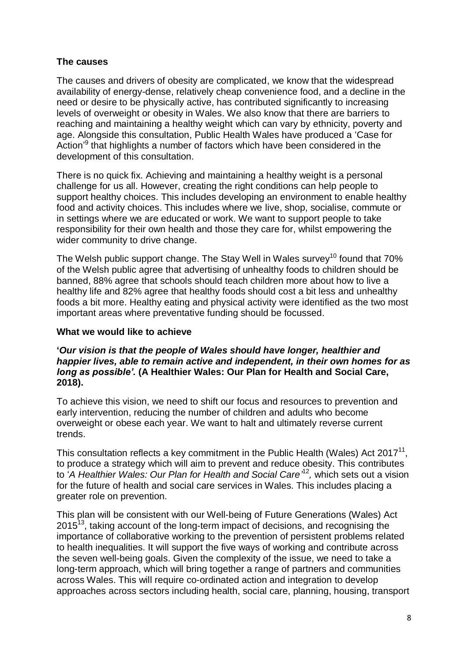# **The causes**

The causes and drivers of obesity are complicated, we know that the widespread availability of energy-dense, relatively cheap convenience food, and a decline in the need or desire to be physically active, has contributed significantly to increasing levels of overweight or obesity in Wales. We also know that there are barriers to reaching and maintaining a healthy weight which can vary by ethnicity, poverty and age. Alongside this consultation, Public Health Wales have produced a 'Case for Action<sup>'9</sup> that highlights a number of factors which have been considered in the development of this consultation.

There is no quick fix. Achieving and maintaining a healthy weight is a personal challenge for us all. However, creating the right conditions can help people to support healthy choices. This includes developing an environment to enable healthy food and activity choices. This includes where we live, shop, socialise, commute or in settings where we are educated or work. We want to support people to take responsibility for their own health and those they care for, whilst empowering the wider community to drive change.

The Welsh public support change. The Stay Well in Wales survey<sup>10</sup> found that  $70\%$ of the Welsh public agree that advertising of unhealthy foods to children should be banned, 88% agree that schools should teach children more about how to live a healthy life and 82% agree that healthy foods should cost a bit less and unhealthy foods a bit more. Healthy eating and physical activity were identified as the two most important areas where preventative funding should be focussed.

## **What we would like to achieve**

#### **'***Our vision is that the people of Wales should have longer, healthier and happier lives, able to remain active and independent, in their own homes for as long as possible'.* **(A Healthier Wales: Our Plan for Health and Social Care, 2018).**

To achieve this vision, we need to shift our focus and resources to prevention and early intervention, reducing the number of children and adults who become overweight or obese each year. We want to halt and ultimately reverse current trends.

This consultation reflects a key commitment in the Public Health (Wales) Act 2017 $^{11}$ , to produce a strategy which will aim to prevent and reduce obesity. This contributes to 'A Healthier Wales: Our Plan for Health and Social Care<sup>12</sup>, which sets out a vision for the future of health and social care services in Wales. This includes placing a greater role on prevention.

This plan will be consistent with our Well-being of Future Generations (Wales) Act  $2015<sup>13</sup>$ , taking account of the long-term impact of decisions, and recognising the importance of collaborative working to the prevention of persistent problems related to health inequalities. It will support the five ways of working and contribute across the seven well-being goals. Given the complexity of the issue, we need to take a long-term approach, which will bring together a range of partners and communities across Wales. This will require co-ordinated action and integration to develop approaches across sectors including health, social care, planning, housing, transport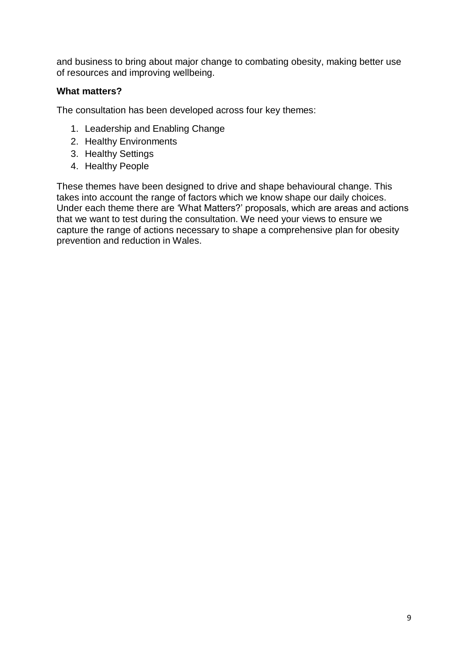and business to bring about major change to combating obesity, making better use of resources and improving wellbeing.

# **What matters?**

The consultation has been developed across four key themes:

- 1. Leadership and Enabling Change
- 2. Healthy Environments
- 3. Healthy Settings
- 4. Healthy People

These themes have been designed to drive and shape behavioural change. This takes into account the range of factors which we know shape our daily choices. Under each theme there are 'What Matters?' proposals, which are areas and actions that we want to test during the consultation. We need your views to ensure we capture the range of actions necessary to shape a comprehensive plan for obesity prevention and reduction in Wales.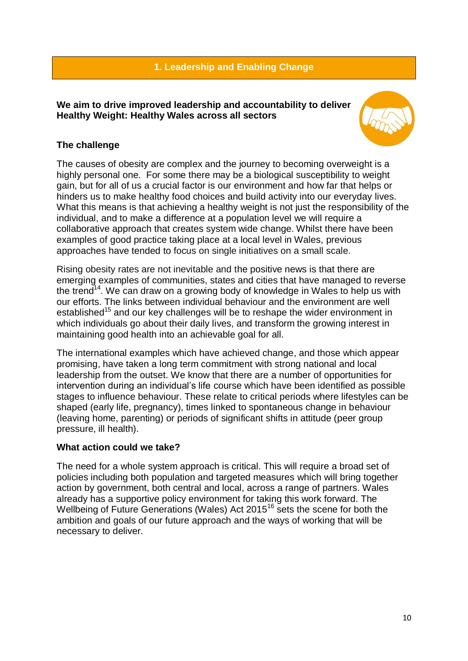# **1. Leadership and Enabling Change**

**We aim to drive improved leadership and accountability to deliver Healthy Weight: Healthy Wales across all sectors**



# **The challenge**

The causes of obesity are complex and the journey to becoming overweight is a highly personal one. For some there may be a biological susceptibility to weight gain, but for all of us a crucial factor is our environment and how far that helps or hinders us to make healthy food choices and build activity into our everyday lives. What this means is that achieving a healthy weight is not just the responsibility of the individual, and to make a difference at a population level we will require a collaborative approach that creates system wide change. Whilst there have been examples of good practice taking place at a local level in Wales, previous approaches have tended to focus on single initiatives on a small scale.

Rising obesity rates are not inevitable and the positive news is that there are emerging examples of communities, states and cities that have managed to reverse the trend<sup>14</sup>. We can draw on a growing body of knowledge in Wales to help us with our efforts. The links between individual behaviour and the environment are well established<sup>15</sup> and our key challenges will be to reshape the wider environment in which individuals go about their daily lives, and transform the growing interest in maintaining good health into an achievable goal for all.

The international examples which have achieved change, and those which appear promising, have taken a long term commitment with strong national and local leadership from the outset. We know that there are a number of opportunities for intervention during an individual's life course which have been identified as possible stages to influence behaviour. These relate to critical periods where lifestyles can be shaped (early life, pregnancy), times linked to spontaneous change in behaviour (leaving home, parenting) or periods of significant shifts in attitude (peer group pressure, ill health).

# **What action could we take?**

The need for a whole system approach is critical. This will require a broad set of policies including both population and targeted measures which will bring together action by government, both central and local, across a range of partners. Wales already has a supportive policy environment for taking this work forward. The Wellbeing of Future Generations (Wales) Act 2015<sup>16</sup> sets the scene for both the ambition and goals of our future approach and the ways of working that will be necessary to deliver.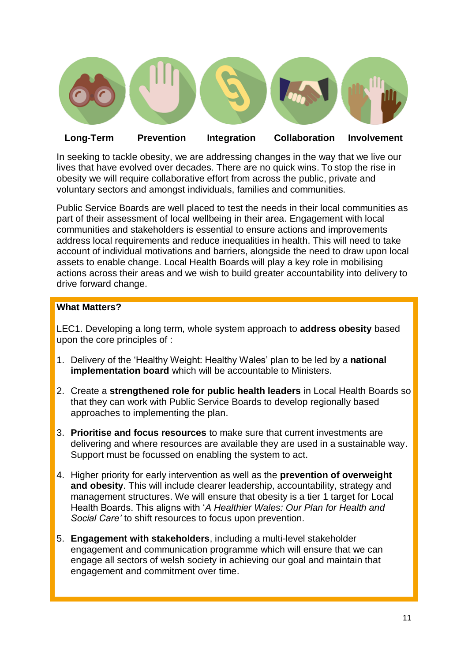

# **Long-Term Prevention Integration Collaboration Involvement**

In seeking to tackle obesity, we are addressing changes in the way that we live our lives that have evolved over decades. There are no quick wins. To stop the rise in obesity we will require collaborative effort from across the public, private and voluntary sectors and amongst individuals, families and communities.

Public Service Boards are well placed to test the needs in their local communities as part of their assessment of local wellbeing in their area. Engagement with local communities and stakeholders is essential to ensure actions and improvements address local requirements and reduce inequalities in health. This will need to take account of individual motivations and barriers, alongside the need to draw upon local assets to enable change. Local Health Boards will play a key role in mobilising actions across their areas and we wish to build greater accountability into delivery to drive forward change.

# **What Matters?**

LEC1. Developing a long term, whole system approach to **address obesity** based upon the core principles of :

- 1. Delivery of the 'Healthy Weight: Healthy Wales' plan to be led by a **national implementation board** which will be accountable to Ministers.
- 2. Create a **strengthened role for public health leaders** in Local Health Boards so that they can work with Public Service Boards to develop regionally based approaches to implementing the plan.
- 3. **Prioritise and focus resources** to make sure that current investments are delivering and where resources are available they are used in a sustainable way. Support must be focussed on enabling the system to act.
- 4. Higher priority for early intervention as well as the **prevention of overweight and obesity**. This will include clearer leadership, accountability, strategy and management structures. We will ensure that obesity is a tier 1 target for Local Health Boards. This aligns with '*A Healthier Wales: Our Plan for Health and Social Care'* to shift resources to focus upon prevention.
- 5. **Engagement with stakeholders**, including a multi-level stakeholder engagement and communication programme which will ensure that we can engage all sectors of welsh society in achieving our goal and maintain that engagement and commitment over time.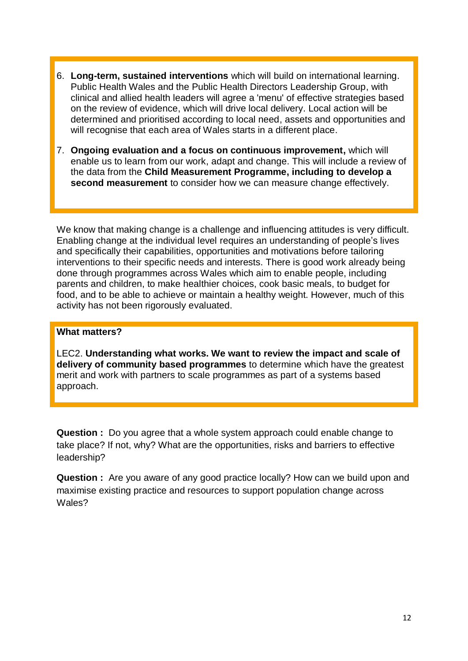- 6. **Long-term, sustained interventions** which will build on international learning. Public Health Wales and the Public Health Directors Leadership Group, with clinical and allied health leaders will agree a 'menu' of effective strategies based on the review of evidence, which will drive local delivery. Local action will be determined and prioritised according to local need, assets and opportunities and will recognise that each area of Wales starts in a different place.
- 7. **Ongoing evaluation and a focus on continuous improvement,** which will enable us to learn from our work, adapt and change. This will include a review of the data from the **Child Measurement Programme, including to develop a second measurement** to consider how we can measure change effectively.

We know that making change is a challenge and influencing attitudes is very difficult. Enabling change at the individual level requires an understanding of people's lives and specifically their capabilities, opportunities and motivations before tailoring interventions to their specific needs and interests. There is good work already being done through programmes across Wales which aim to enable people, including parents and children, to make healthier choices, cook basic meals, to budget for food, and to be able to achieve or maintain a healthy weight. However, much of this activity has not been rigorously evaluated.

## **What matters?**

LEC2. **Understanding what works. We want to review the impact and scale of delivery of community based programmes** to determine which have the greatest merit and work with partners to scale programmes as part of a systems based approach.

**Question :** Do you agree that a whole system approach could enable change to take place? If not, why? What are the opportunities, risks and barriers to effective leadership?

**Question :** Are you aware of any good practice locally? How can we build upon and maximise existing practice and resources to support population change across Wales?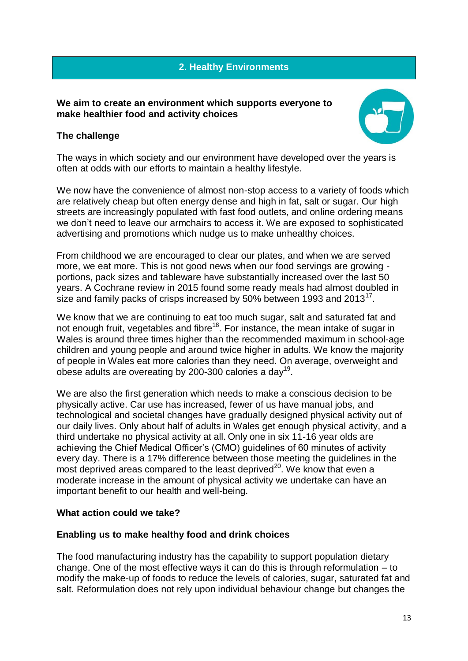# **2. Healthy Environments**

#### **We aim to create an environment which supports everyone to make healthier food and activity choices**

# **The challenge**



The ways in which society and our environment have developed over the years is often at odds with our efforts to maintain a healthy lifestyle.

We now have the convenience of almost non-stop access to a variety of foods which are relatively cheap but often energy dense and high in fat, salt or sugar. Our high streets are increasingly populated with fast food outlets, and online ordering means we don't need to leave our armchairs to access it. We are exposed to sophisticated advertising and promotions which nudge us to make unhealthy choices.

From childhood we are encouraged to clear our plates, and when we are served more, we eat more. This is not good news when our food servings are growing portions, pack sizes and tableware have substantially increased over the last 50 years. A Cochrane review in 2015 found some ready meals had almost doubled in size and family packs of crisps increased by 50% between 1993 and 2013 $^{17}$ .

We know that we are continuing to eat too much sugar, salt and saturated fat and not enough fruit, vegetables and fibre<sup>18</sup>. For instance, the mean intake of sugar in Wales is around three times higher than the recommended maximum in school-age children and young people and around twice higher in adults. We know the majority of people in Wales eat more calories than they need. On average, overweight and obese adults are overeating by 200-300 calories a day<sup>19</sup>.

We are also the first generation which needs to make a conscious decision to be physically active. Car use has increased, fewer of us have manual jobs, and technological and societal changes have gradually designed physical activity out of our daily lives. Only about half of adults in Wales get enough physical activity, and a third undertake no physical activity at all. Only one in six 11-16 year olds are achieving the Chief Medical Officer's (CMO) guidelines of 60 minutes of activity every day. There is a 17% difference between those meeting the guidelines in the most deprived areas compared to the least deprived<sup>20</sup>. We know that even a moderate increase in the amount of physical activity we undertake can have an important benefit to our health and well-being.

# **What action could we take?**

# **Enabling us to make healthy food and drink choices**

The food manufacturing industry has the capability to support population dietary change. One of the most effective ways it can do this is through reformulation – to modify the make-up of foods to reduce the levels of calories, sugar, saturated fat and salt. Reformulation does not rely upon individual behaviour change but changes the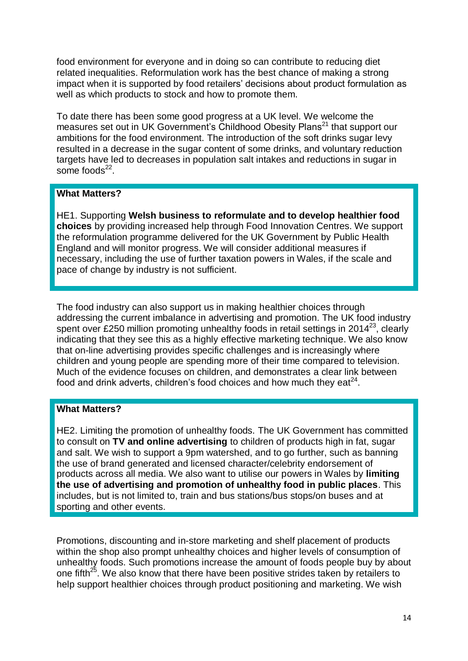food environment for everyone and in doing so can contribute to reducing diet related inequalities. Reformulation work has the best chance of making a strong impact when it is supported by food retailers' decisions about product formulation as well as which products to stock and how to promote them.

To date there has been some good progress at a UK level. We welcome the measures set out in UK Government's Childhood Obesity Plans<sup>21</sup> that support our ambitions for the food environment. The introduction of the soft drinks sugar levy resulted in a decrease in the sugar content of some drinks, and voluntary reduction targets have led to decreases in population salt intakes and reductions in sugar in some foods $^{22}$ .

# **What Matters?**

HE1. Supporting **Welsh business to reformulate and to develop healthier food choices** by providing increased help through Food Innovation Centres. We support the reformulation programme delivered for the UK Government by Public Health England and will monitor progress. We will consider additional measures if necessary, including the use of further taxation powers in Wales, if the scale and pace of change by industry is not sufficient.

The food industry can also support us in making healthier choices through addressing the current imbalance in advertising and promotion. The UK food industry spent over £250 million promoting unhealthy foods in retail settings in 2014<sup>23</sup>, clearly indicating that they see this as a highly effective marketing technique. We also know that on-line advertising provides specific challenges and is increasingly where children and young people are spending more of their time compared to television. Much of the evidence focuses on children, and demonstrates a clear link between food and drink adverts, children's food choices and how much they eat $^{24}$ .

# **What Matters?**

HE2. Limiting the promotion of unhealthy foods. The UK Government has committed to consult on **TV and online advertising** to children of products high in fat, sugar and salt. We wish to support a 9pm watershed, and to go further, such as banning the use of brand generated and licensed character/celebrity endorsement of products across all media. We also want to utilise our powers in Wales by **limiting the use of advertising and promotion of unhealthy food in public places**. This includes, but is not limited to, train and bus stations/bus stops/on buses and at sporting and other events.

Promotions, discounting and in-store marketing and shelf placement of products within the shop also prompt unhealthy choices and higher levels of consumption of unhealthy foods. Such promotions increase the amount of foods people buy by about one fifth<sup>25</sup>. We also know that there have been positive strides taken by retailers to help support healthier choices through product positioning and marketing. We wish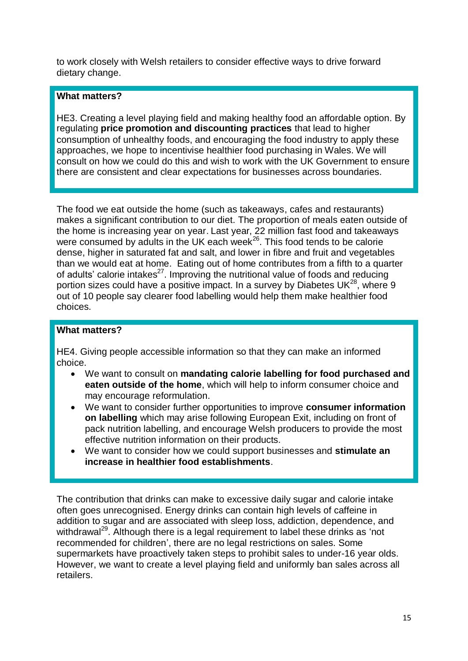to work closely with Welsh retailers to consider effective ways to drive forward dietary change.

#### **What matters?**

HE3. Creating a level playing field and making healthy food an affordable option. By regulating **price promotion and discounting practices** that lead to higher consumption of unhealthy foods, and encouraging the food industry to apply these approaches, we hope to incentivise healthier food purchasing in Wales. We will consult on how we could do this and wish to work with the UK Government to ensure there are consistent and clear expectations for businesses across boundaries.

The food we eat outside the home (such as takeaways, cafes and restaurants) makes a significant contribution to our diet. The proportion of meals eaten outside of the home is increasing year on year. Last year, 22 million fast food and takeaways were consumed by adults in the UK each week $^{26}$ . This food tends to be calorie dense, higher in saturated fat and salt, and lower in fibre and fruit and vegetables than we would eat at home. Eating out of home contributes from a fifth to a quarter of adults' calorie intakes<sup>27</sup>. Improving the nutritional value of foods and reducing portion sizes could have a positive impact. In a survey by Diabetes UK $^{28}$ , where 9 out of 10 people say clearer food labelling would help them make healthier food choices.

#### **What matters?**

HE4. Giving people accessible information so that they can make an informed choice.

- We want to consult on **mandating calorie labelling for food purchased and eaten outside of the home**, which will help to inform consumer choice and may encourage reformulation.
- We want to consider further opportunities to improve **consumer information on labelling** which may arise following European Exit, including on front of pack nutrition labelling, and encourage Welsh producers to provide the most effective nutrition information on their products.
- We want to consider how we could support businesses and **stimulate an increase in healthier food establishments**.

The contribution that drinks can make to excessive daily sugar and calorie intake often goes unrecognised. Energy drinks can contain high levels of caffeine in addition to sugar and are associated with sleep loss, addiction, dependence, and withdrawal<sup>29</sup>. Although there is a legal requirement to label these drinks as 'not recommended for children', there are no legal restrictions on sales. Some supermarkets have proactively taken steps to prohibit sales to under-16 year olds. However, we want to create a level playing field and uniformly ban sales across all retailers.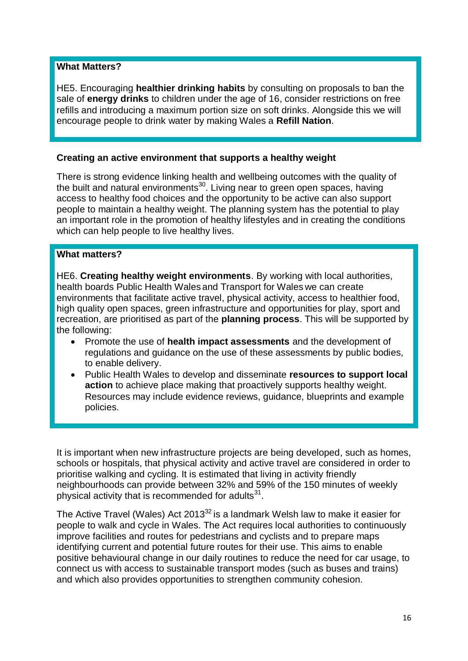## **What Matters?**

HE5. Encouraging **healthier drinking habits** by consulting on proposals to ban the sale of **energy drinks** to children under the age of 16, consider restrictions on free refills and introducing a maximum portion size on soft drinks. Alongside this we will encourage people to drink water by making Wales a **Refill Nation**.

# **Creating an active environment that supports a healthy weight**

There is strong evidence linking health and wellbeing outcomes with the quality of the built and natural environments<sup>30</sup>. Living near to green open spaces, having access to healthy food choices and the opportunity to be active can also support people to maintain a healthy weight. The planning system has the potential to play an important role in the promotion of healthy lifestyles and in creating the conditions which can help people to live healthy lives.

# **What matters?**

HE6. **Creating healthy weight environments**. By working with local authorities, health boards Public Health Wales and Transport for Wales we can create environments that facilitate active travel, physical activity, access to healthier food, high quality open spaces, green infrastructure and opportunities for play, sport and recreation, are prioritised as part of the **planning process**. This will be supported by the following:

- Promote the use of **health impact assessments** and the development of regulations and guidance on the use of these assessments by public bodies, to enable delivery.
- Public Health Wales to develop and disseminate **resources to support local action** to achieve place making that proactively supports healthy weight. Resources may include evidence reviews, guidance, blueprints and example policies.

It is important when new infrastructure projects are being developed, such as homes, schools or hospitals, that physical activity and active travel are considered in order to prioritise walking and cycling. It is estimated that living in activity friendly neighbourhoods can provide between 32% and 59% of the 150 minutes of weekly physical activity that is recommended for adults $31$ .

The Active Travel (Wales) Act 2013<sup>32</sup> is a landmark Welsh law to make it easier for people to walk and cycle in Wales. The Act requires local authorities to continuously improve facilities and routes for pedestrians and cyclists and to prepare maps identifying current and potential future routes for their use. This aims to enable positive behavioural change in our daily routines to reduce the need for car usage, to connect us with access to sustainable transport modes (such as buses and trains) and which also provides opportunities to strengthen community cohesion.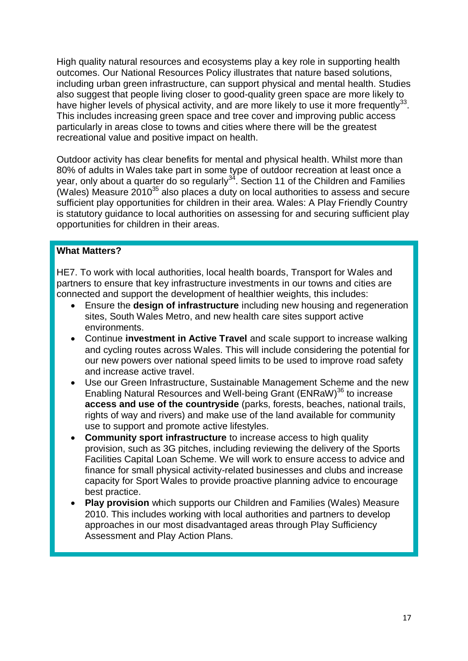High quality natural resources and ecosystems play a key role in supporting health outcomes. Our National Resources Policy illustrates that nature based solutions, including urban green infrastructure, can support physical and mental health. Studies also suggest that people living closer to good-quality green space are more likely to have higher levels of physical activity, and are more likely to use it more frequently $^{33}$ . This includes increasing green space and tree cover and improving public access particularly in areas close to towns and cities where there will be the greatest recreational value and positive impact on health.

Outdoor activity has clear benefits for mental and physical health. Whilst more than 80% of adults in Wales take part in some type of outdoor recreation at least once a year, only about a quarter do so regularly<sup>34</sup>. Section 11 of the Children and Families (Wales) Measure 2010<sup>35</sup> also places a duty on local authorities to assess and secure sufficient play opportunities for children in their area. Wales: A Play Friendly Country is statutory guidance to local authorities on assessing for and securing sufficient play opportunities for children in their areas.

# **What Matters?**

HE7. To work with local authorities, local health boards, Transport for Wales and partners to ensure that key infrastructure investments in our towns and cities are connected and support the development of healthier weights, this includes:

- Ensure the **design of infrastructure** including new housing and regeneration sites, South Wales Metro, and new health care sites support active environments.
- Continue **investment in Active Travel** and scale support to increase walking and cycling routes across Wales. This will include considering the potential for our new powers over national speed limits to be used to improve road safety and increase active travel.
- Use our Green Infrastructure, Sustainable Management Scheme and the new Enabling Natural Resources and Well-being Grant (ENRaW)<sup>36</sup> to increase **access and use of the countryside** (parks, forests, beaches, national trails, rights of way and rivers) and make use of the land available for community use to support and promote active lifestyles.
- **Community sport infrastructure** to increase access to high quality provision, such as 3G pitches, including reviewing the delivery of the Sports Facilities Capital Loan Scheme. We will work to ensure access to advice and finance for small physical activity-related businesses and clubs and increase capacity for Sport Wales to provide proactive planning advice to encourage best practice.
- **Play provision** which supports our [Children and Families \(Wales\) Measure](http://www.legislation.gov.uk/mwa/2010/1/contents)  [2010.](http://www.legislation.gov.uk/mwa/2010/1/contents) This includes working with local authorities and partners to develop approaches in our most disadvantaged areas through Play Sufficiency Assessment and Play Action Plans.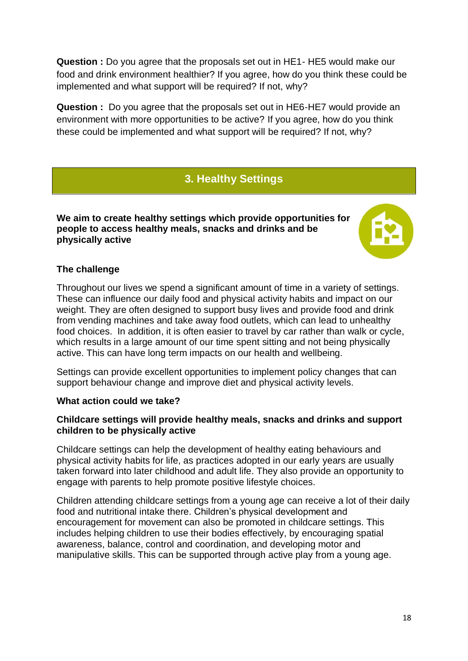**Question :** Do you agree that the proposals set out in HE1- HE5 would make our food and drink environment healthier? If you agree, how do you think these could be implemented and what support will be required? If not, why?

**Question :** Do you agree that the proposals set out in HE6-HE7 would provide an environment with more opportunities to be active? If you agree, how do you think these could be implemented and what support will be required? If not, why?

# **3. Healthy Settings**

**We aim to create healthy settings which provide opportunities for people to access healthy meals, snacks and drinks and be physically active**



# **The challenge**

Throughout our lives we spend a significant amount of time in a variety of settings. These can influence our daily food and physical activity habits and impact on our weight. They are often designed to support busy lives and provide food and drink from vending machines and take away food outlets, which can lead to unhealthy food choices. In addition, it is often easier to travel by car rather than walk or cycle, which results in a large amount of our time spent sitting and not being physically active. This can have long term impacts on our health and wellbeing.

Settings can provide excellent opportunities to implement policy changes that can support behaviour change and improve diet and physical activity levels.

# **What action could we take?**

# **Childcare settings will provide healthy meals, snacks and drinks and support children to be physically active**

Childcare settings can help the development of healthy eating behaviours and physical activity habits for life, as practices adopted in our early years are usually taken forward into later childhood and adult life. They also provide an opportunity to engage with parents to help promote positive lifestyle choices.

Children attending childcare settings from a young age can receive a lot of their daily food and nutritional intake there. Children's physical development and encouragement for movement can also be promoted in childcare settings. This includes helping children to use their bodies effectively, by encouraging spatial awareness, balance, control and coordination, and developing motor and manipulative skills. This can be supported through active play from a young age.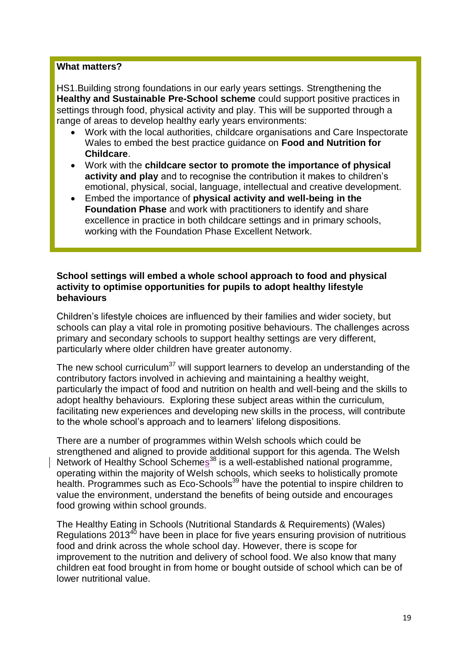#### **What matters?**

HS1.Building strong foundations in our early years settings. Strengthening the **Healthy and Sustainable Pre-School scheme** could support positive practices in settings through food, physical activity and play. This will be supported through a range of areas to develop healthy early years environments:

- Work with the local authorities, childcare organisations and Care Inspectorate Wales to embed the best practice guidance on **Food and Nutrition for Childcare**.
- Work with the **childcare sector to promote the importance of physical activity and play** and to recognise the contribution it makes to children's emotional, physical, social, language, intellectual and creative development.
- Embed the importance of **physical activity and well-being in the Foundation Phase** and work with practitioners to identify and share excellence in practice in both childcare settings and in primary schools, working with the Foundation Phase Excellent Network.

#### **School settings will embed a whole school approach to food and physical activity to optimise opportunities for pupils to adopt healthy lifestyle behaviours**

Children's lifestyle choices are influenced by their families and wider society, but schools can play a vital role in promoting positive behaviours. The challenges across primary and secondary schools to support healthy settings are very different, particularly where older children have greater autonomy.

The new school curriculum<sup>37</sup> will support learners to develop an understanding of the contributory factors involved in achieving and maintaining a healthy weight, particularly the impact of food and nutrition on health and well-being and the skills to adopt healthy behaviours. Exploring these subject areas within the curriculum, facilitating new experiences and developing new skills in the process, will contribute to the whole school's approach and to learners' lifelong dispositions.

There are a number of programmes within Welsh schools which could be strengthened and aligned to provide additional support for this agenda. The Welsh Network of Healthy School Schemes<sup>38</sup> is a well-established national programme, operating within the majority of Welsh schools, which seeks to holistically promote health. Programmes such as Eco-Schools<sup>39</sup> have the potential to inspire children to value the environment, understand the benefits of being outside and encourages food growing within school grounds.

The Healthy Eating in Schools (Nutritional Standards & Requirements) (Wales) Regulations  $2013^{40}$  have been in place for five years ensuring provision of nutritious food and drink across the whole school day. However, there is scope for improvement to the nutrition and delivery of school food. We also know that many children eat food brought in from home or bought outside of school which can be of lower nutritional value.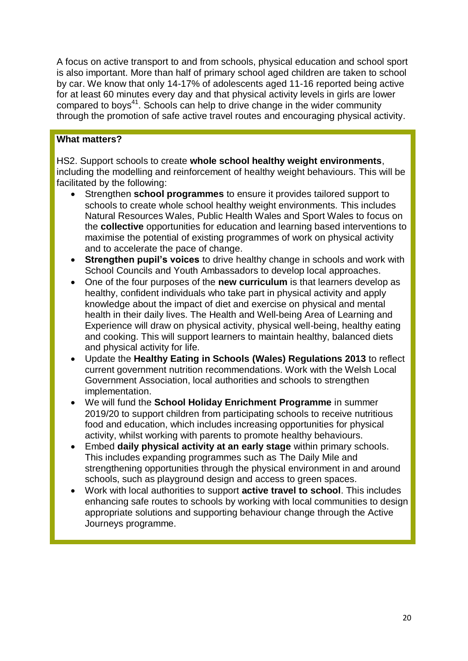A focus on active transport to and from schools, physical education and school sport is also important. More than half of primary school aged children are taken to school by car. We know that only 14-17% of adolescents aged 11-16 reported being active for at least 60 minutes every day and that physical activity levels in girls are lower compared to boys<sup>41</sup>. Schools can help to drive change in the wider community through the promotion of safe active travel routes and encouraging physical activity.

# **What matters?**

HS2. Support schools to create **whole school healthy weight environments**, including the modelling and reinforcement of healthy weight behaviours. This will be facilitated by the following:

- Strengthen **school programmes** to ensure it provides tailored support to schools to create whole school healthy weight environments. This includes Natural Resources Wales, Public Health Wales and Sport Wales to focus on the **collective** opportunities for education and learning based interventions to maximise the potential of existing programmes of work on physical activity and to accelerate the pace of change.
- **Strengthen pupil's voices** to drive healthy change in schools and work with School Councils and Youth Ambassadors to develop local approaches.
- One of the four purposes of the **new curriculum** is that learners develop as healthy, confident individuals who take part in physical activity and apply knowledge about the impact of diet and exercise on physical and mental health in their daily lives. The Health and Well-being Area of Learning and Experience will draw on physical activity, physical well-being, healthy eating and cooking. This will support learners to maintain healthy, balanced diets and physical activity for life.
- Update the **Healthy Eating in Schools (Wales) Regulations 2013** to reflect current government nutrition recommendations. Work with the Welsh Local Government Association, local authorities and schools to strengthen implementation.
- We will fund the **School Holiday Enrichment Programme** in summer 2019/20 to support children from participating schools to receive nutritious food and education, which includes increasing opportunities for physical activity, whilst working with parents to promote healthy behaviours.
- Embed **daily physical activity at an early stage** within primary schools. This includes expanding programmes such as The Daily Mile and strengthening opportunities through the physical environment in and around schools, such as playground design and access to green spaces.
- Work with local authorities to support **active travel to school**. This includes enhancing safe routes to schools by working with local communities to design appropriate solutions and supporting behaviour change through the Active Journeys programme.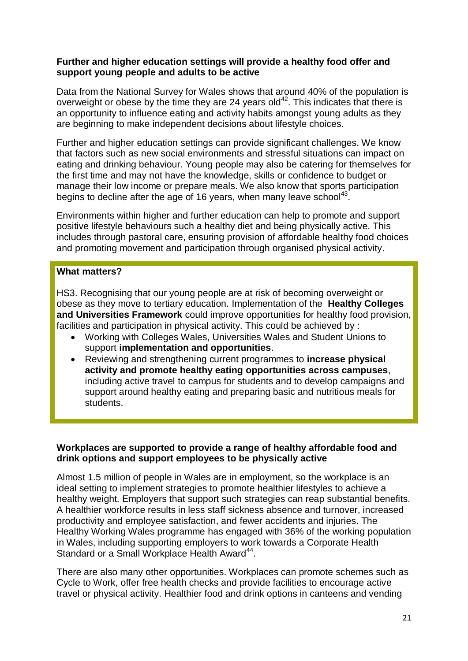# **Further and higher education settings will provide a healthy food offer and support young people and adults to be active**

Data from the National Survey for Wales shows that around 40% of the population is overweight or obese by the time they are 24 years old<sup>42</sup>. This indicates that there is an opportunity to influence eating and activity habits amongst young adults as they are beginning to make independent decisions about lifestyle choices.

Further and higher education settings can provide significant challenges. We know that factors such as new social environments and stressful situations can impact on eating and drinking behaviour. Young people may also be catering for themselves for the first time and may not have the knowledge, skills or confidence to budget or manage their low income or prepare meals. We also know that sports participation begins to decline after the age of 16 years, when many leave school $43$ .

Environments within higher and further education can help to promote and support positive lifestyle behaviours such a healthy diet and being physically active. This includes through pastoral care, ensuring provision of affordable healthy food choices and promoting movement and participation through organised physical activity.

#### **What matters?**

HS3. Recognising that our young people are at risk of becoming overweight or obese as they move to tertiary education. Implementation of the **Healthy Colleges and Universities Framework** could improve opportunities for healthy food provision, facilities and participation in physical activity. This could be achieved by :

- Working with Colleges Wales, Universities Wales and Student Unions to support **implementation and opportunities**.
- Reviewing and strengthening current programmes to **increase physical activity and promote healthy eating opportunities across campuses**, including active travel to campus for students and to develop campaigns and support around healthy eating and preparing basic and nutritious meals for students.

# **Workplaces are supported to provide a range of healthy affordable food and drink options and support employees to be physically active**

Almost 1.5 million of people in Wales are in employment, so the workplace is an ideal setting to implement strategies to promote healthier lifestyles to achieve a healthy weight. Employers that support such strategies can reap substantial benefits. A healthier workforce results in less staff sickness absence and turnover, increased productivity and employee satisfaction, and fewer accidents and injuries. The Healthy Working Wales programme has engaged with 36% of the working population in Wales, including supporting employers to work towards a Corporate Health Standard or a Small Workplace Health Award<sup>44</sup>.

There are also many other opportunities. Workplaces can promote schemes such as Cycle to Work, offer free health checks and provide facilities to encourage active travel or physical activity. Healthier food and drink options in canteens and vending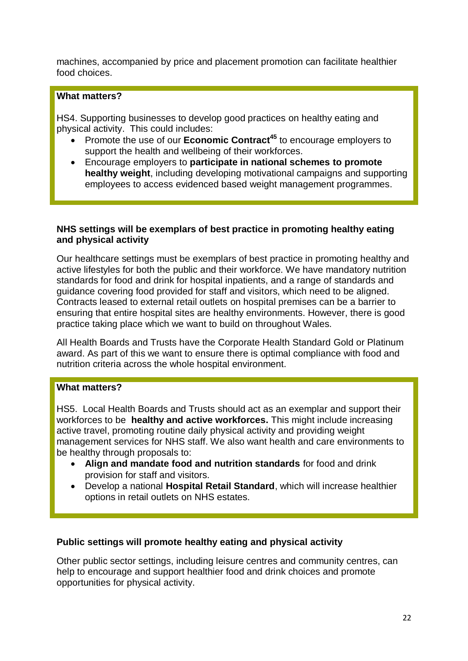machines, accompanied by price and placement promotion can facilitate healthier food choices.

# **What matters?**

HS4. Supporting businesses to develop good practices on healthy eating and physical activity. This could includes:

- Promote the use of our **Economic Contract<sup>45</sup>** to encourage employers to support the health and wellbeing of their workforces.
- Encourage employers to **participate in national schemes to promote healthy weight**, including developing motivational campaigns and supporting employees to access evidenced based weight management programmes.

# **NHS settings will be exemplars of best practice in promoting healthy eating and physical activity**

Our healthcare settings must be exemplars of best practice in promoting healthy and active lifestyles for both the public and their workforce. We have mandatory nutrition standards for food and drink for hospital inpatients, and a range of standards and guidance covering food provided for staff and visitors, which need to be aligned. Contracts leased to external retail outlets on hospital premises can be a barrier to ensuring that entire hospital sites are healthy environments. However, there is good practice taking place which we want to build on throughout Wales.

All Health Boards and Trusts have the Corporate Health Standard Gold or Platinum award. As part of this we want to ensure there is optimal compliance with food and nutrition criteria across the whole hospital environment.

# **What matters?**

HS5. Local Health Boards and Trusts should act as an exemplar and support their workforces to be **healthy and active workforces.** This might include increasing active travel, promoting routine daily physical activity and providing weight management services for NHS staff. We also want health and care environments to be healthy through proposals to:

- **Align and mandate food and nutrition standards** for food and drink provision for staff and visitors.
- Develop a national **Hospital Retail Standard**, which will increase healthier options in retail outlets on NHS estates.

# **Public settings will promote healthy eating and physical activity**

Other public sector settings, including leisure centres and community centres, can help to encourage and support healthier food and drink choices and promote opportunities for physical activity.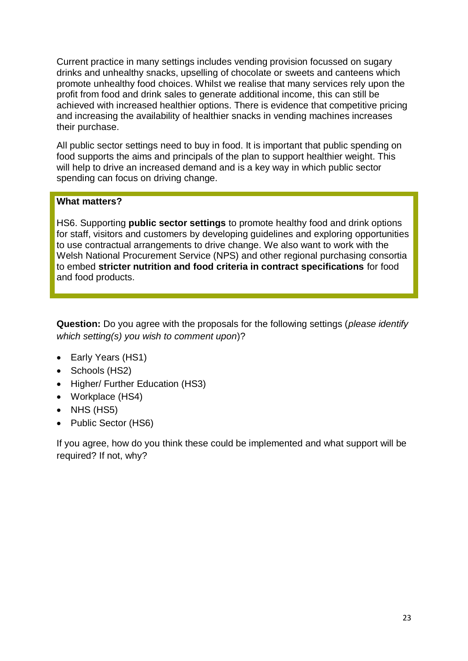Current practice in many settings includes vending provision focussed on sugary drinks and unhealthy snacks, upselling of chocolate or sweets and canteens which promote unhealthy food choices. Whilst we realise that many services rely upon the profit from food and drink sales to generate additional income, this can still be achieved with increased healthier options. There is evidence that competitive pricing and increasing the availability of healthier snacks in vending machines increases their purchase.

All public sector settings need to buy in food. It is important that public spending on food supports the aims and principals of the plan to support healthier weight. This will help to drive an increased demand and is a key way in which public sector spending can focus on driving change.

# **What matters?**

HS6. Supporting **public sector settings** to promote healthy food and drink options for staff, visitors and customers by developing guidelines and exploring opportunities to use contractual arrangements to drive change. We also want to work with the Welsh National Procurement Service (NPS) and other regional purchasing consortia to embed **stricter nutrition and food criteria in contract specifications** for food and food products.

**Question:** Do you agree with the proposals for the following settings (*please identify which setting(s) you wish to comment upon*)?

- Early Years (HS1)
- Schools (HS2)
- Higher/ Further Education (HS3)
- Workplace (HS4)
- $\bullet$  NHS (HS5)
- Public Sector (HS6)

If you agree, how do you think these could be implemented and what support will be required? If not, why?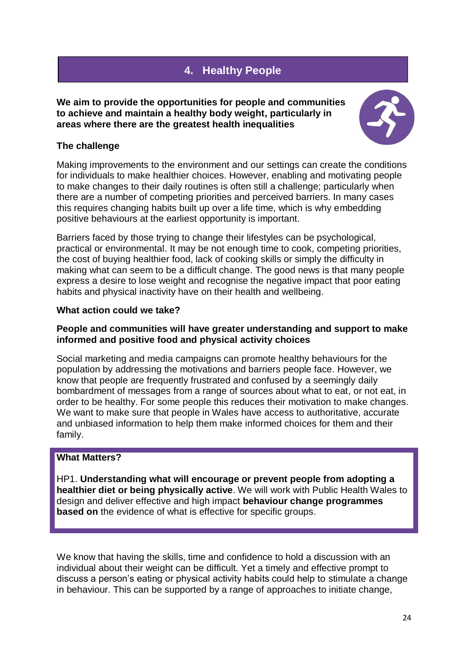# **4. Healthy People**

**We aim to provide the opportunities for people and communities to achieve and maintain a healthy body weight, particularly in areas where there are the greatest health inequalities**



# **The challenge**

Making improvements to the environment and our settings can create the conditions for individuals to make healthier choices. However, enabling and motivating people to make changes to their daily routines is often still a challenge; particularly when there are a number of competing priorities and perceived barriers. In many cases this requires changing habits built up over a life time, which is why embedding positive behaviours at the earliest opportunity is important.

Barriers faced by those trying to change their lifestyles can be psychological, practical or environmental. It may be not enough time to cook, competing priorities, the cost of buying healthier food, lack of cooking skills or simply the difficulty in making what can seem to be a difficult change. The good news is that many people express a desire to lose weight and recognise the negative impact that poor eating habits and physical inactivity have on their health and wellbeing.

# **What action could we take?**

# **People and communities will have greater understanding and support to make informed and positive food and physical activity choices**

Social marketing and media campaigns can promote healthy behaviours for the population by addressing the motivations and barriers people face. However, we know that people are frequently frustrated and confused by a seemingly daily bombardment of messages from a range of sources about what to eat, or not eat, in order to be healthy. For some people this reduces their motivation to make changes. We want to make sure that people in Wales have access to authoritative, accurate and unbiased information to help them make informed choices for them and their family.

# **What Matters?**

HP1. **Understanding what will encourage or prevent people from adopting a healthier diet or being physically active**. We will work with Public Health Wales to design and deliver effective and high impact **behaviour change programmes based on** the evidence of what is effective for specific groups.

We know that having the skills, time and confidence to hold a discussion with an individual about their weight can be difficult. Yet a timely and effective prompt to discuss a person's eating or physical activity habits could help to stimulate a change in behaviour. This can be supported by a range of approaches to initiate change,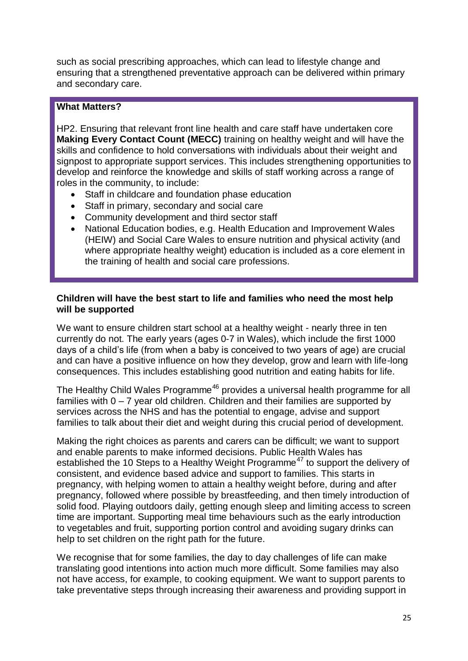such as social prescribing approaches, which can lead to lifestyle change and ensuring that a strengthened preventative approach can be delivered within primary and secondary care.

# **What Matters?**

HP2. Ensuring that relevant front line health and care staff have undertaken core **Making Every Contact Count (MECC)** training on healthy weight and will have the skills and confidence to hold conversations with individuals about their weight and signpost to appropriate support services. This includes strengthening opportunities to develop and reinforce the knowledge and skills of staff working across a range of roles in the community, to include:

- Staff in childcare and foundation phase education
- Staff in primary, secondary and social care
- Community development and third sector staff
- National Education bodies, e.g. Health Education and Improvement Wales (HEIW) and Social Care Wales to ensure nutrition and physical activity (and where appropriate healthy weight) education is included as a core element in the training of health and social care professions.

# **Children will have the best start to life and families who need the most help will be supported**

We want to ensure children start school at a healthy weight - nearly three in ten currently do not. The early years (ages 0-7 in Wales), which include the first 1000 days of a child's life (from when a baby is conceived to two years of age) are crucial and can have a positive influence on how they develop, grow and learn with life-long consequences. This includes establishing good nutrition and eating habits for life.

The Healthy Child Wales Programme<sup>46</sup> provides a universal health programme for all families with 0 – 7 year old children. Children and their families are supported by services across the NHS and has the potential to engage, advise and support families to talk about their diet and weight during this crucial period of development.

Making the right choices as parents and carers can be difficult; we want to support and enable parents to make informed decisions. Public Health Wales has established the 10 Steps to a Healthy Weight Programme<sup>47</sup> to support the delivery of consistent, and evidence based advice and support to families. This starts in pregnancy, with helping women to attain a healthy weight before, during and after pregnancy, followed where possible by breastfeeding, and then timely introduction of solid food. Playing outdoors daily, getting enough sleep and limiting access to screen time are important. Supporting meal time behaviours such as the early introduction to vegetables and fruit, supporting portion control and avoiding sugary drinks can help to set children on the right path for the future.

We recognise that for some families, the day to day challenges of life can make translating good intentions into action much more difficult. Some families may also not have access, for example, to cooking equipment. We want to support parents to take preventative steps through increasing their awareness and providing support in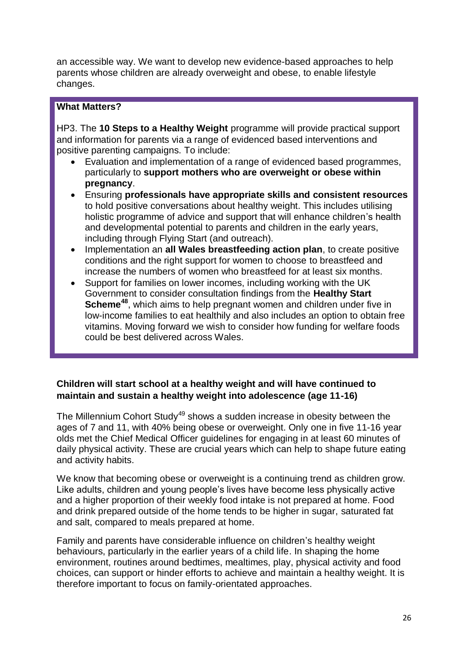an accessible way. We want to develop new evidence-based approaches to help parents whose children are already overweight and obese, to enable lifestyle changes.

# **What Matters?**

HP3. The **10 Steps to a Healthy Weight** programme will provide practical support and information for parents via a range of evidenced based interventions and positive parenting campaigns. To include:

- Evaluation and implementation of a range of evidenced based programmes, particularly to **support mothers who are overweight or obese within pregnancy**.
- Ensuring **professionals have appropriate skills and consistent resources** to hold positive conversations about healthy weight. This includes utilising holistic programme of advice and support that will enhance children's health and developmental potential to parents and children in the early years, including through Flying Start (and outreach).
- Implementation an **all Wales breastfeeding action plan**, to create positive conditions and the right support for women to choose to breastfeed and increase the numbers of women who breastfeed for at least six months.
- Support for families on lower incomes, including working with the UK Government to consider consultation findings from the **Healthy Start Scheme<sup>48</sup>**, which aims to help pregnant women and children under five in low-income families to eat healthily and also includes an option to obtain free vitamins. Moving forward we wish to consider how funding for welfare foods could be best delivered across Wales.

# **Children will start school at a healthy weight and will have continued to maintain and sustain a healthy weight into adolescence (age 11-16)**

The Millennium Cohort Study<sup>49</sup> shows a sudden increase in obesity between the ages of 7 and 11, with 40% being obese or overweight. Only one in five 11-16 year olds met the Chief Medical Officer guidelines for engaging in at least 60 minutes of daily physical activity. These are crucial years which can help to shape future eating and activity habits.

We know that becoming obese or overweight is a continuing trend as children grow. Like adults, children and young people's lives have become less physically active and a higher proportion of their weekly food intake is not prepared at home. Food and drink prepared outside of the home tends to be higher in sugar, saturated fat and salt, compared to meals prepared at home.

Family and parents have considerable influence on children's healthy weight behaviours, particularly in the earlier years of a child life. In shaping the home environment, routines around bedtimes, mealtimes, play, physical activity and food choices, can support or hinder efforts to achieve and maintain a healthy weight. It is therefore important to focus on family-orientated approaches.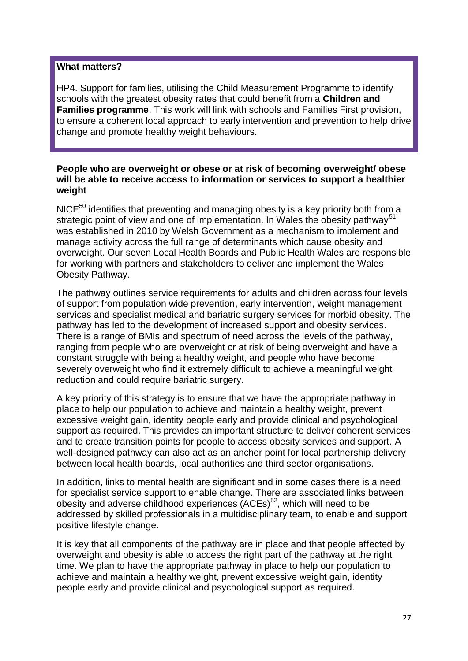#### **What matters?**

HP4. Support for families, utilising the Child Measurement Programme to identify schools with the greatest obesity rates that could benefit from a **Children and Families programme**. This work will link with schools and Families First provision, to ensure a coherent local approach to early intervention and prevention to help drive change and promote healthy weight behaviours.

#### **People who are overweight or obese or at risk of becoming overweight/ obese will be able to receive access to information or services to support a healthier weight**

 $NICE<sup>50</sup>$  identifies that preventing and managing obesity is a key priority both from a strategic point of view and one of implementation. In Wales the obesity pathway<sup>51</sup> was established in 2010 by Welsh Government as a mechanism to implement and manage activity across the full range of determinants which cause obesity and overweight. Our seven Local Health Boards and Public Health Wales are responsible for working with partners and stakeholders to deliver and implement the Wales Obesity Pathway.

The pathway outlines service requirements for adults and children across four levels of support from population wide prevention, early intervention, weight management services and specialist medical and bariatric surgery services for morbid obesity. The pathway has led to the development of increased support and obesity services. There is a range of BMIs and spectrum of need across the levels of the pathway, ranging from people who are overweight or at risk of being overweight and have a constant struggle with being a healthy weight, and people who have become severely overweight who find it extremely difficult to achieve a meaningful weight reduction and could require bariatric surgery.

A key priority of this strategy is to ensure that we have the appropriate pathway in place to help our population to achieve and maintain a healthy weight, prevent excessive weight gain, identity people early and provide clinical and psychological support as required. This provides an important structure to deliver coherent services and to create transition points for people to access obesity services and support. A well-designed pathway can also act as an anchor point for local partnership delivery between local health boards, local authorities and third sector organisations.

In addition, links to mental health are significant and in some cases there is a need for specialist service support to enable change. There are associated links between obesity and adverse childhood experiences  $(ACEs)^{52}$ , which will need to be addressed by skilled professionals in a multidisciplinary team, to enable and support positive lifestyle change.

It is key that all components of the pathway are in place and that people affected by overweight and obesity is able to access the right part of the pathway at the right time. We plan to have the appropriate pathway in place to help our population to achieve and maintain a healthy weight, prevent excessive weight gain, identity people early and provide clinical and psychological support as required.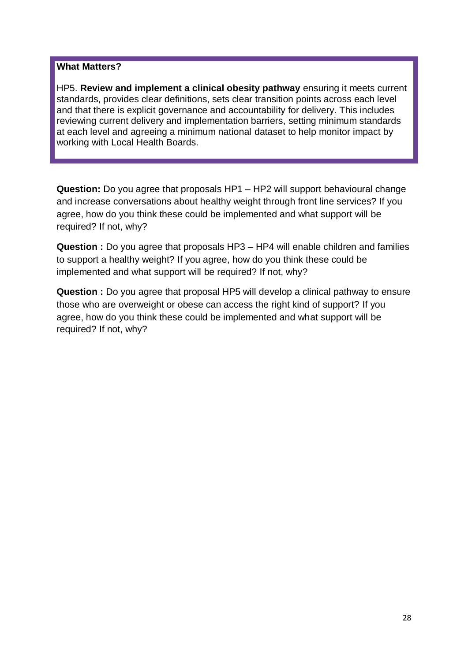#### **What Matters?**

HP5. **Review and implement a clinical obesity pathway** ensuring it meets current standards, provides clear definitions, sets clear transition points across each level and that there is explicit governance and accountability for delivery. This includes reviewing current delivery and implementation barriers, setting minimum standards at each level and agreeing a minimum national dataset to help monitor impact by working with Local Health Boards.

**Question:** Do you agree that proposals HP1 – HP2 will support behavioural change and increase conversations about healthy weight through front line services? If you agree, how do you think these could be implemented and what support will be required? If not, why?

**Question :** Do you agree that proposals HP3 – HP4 will enable children and families to support a healthy weight? If you agree, how do you think these could be implemented and what support will be required? If not, why?

**Question :** Do you agree that proposal HP5 will develop a clinical pathway to ensure those who are overweight or obese can access the right kind of support? If you agree, how do you think these could be implemented and what support will be required? If not, why?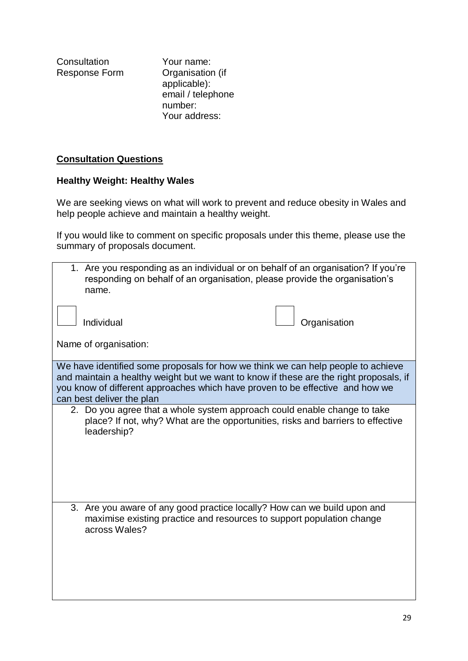**Consultation** Response Form Your name: Organisation (if applicable): email / telephone number: Your address:

# **Consultation Questions**

# **Healthy Weight: Healthy Wales**

We are seeking views on what will work to prevent and reduce obesity in Wales and help people achieve and maintain a healthy weight.

If you would like to comment on specific proposals under this theme, please use the summary of proposals document.

| 1. Are you responding as an individual or on behalf of an organisation? If you're<br>name.                                                                         | responding on behalf of an organisation, please provide the organisation's      |
|--------------------------------------------------------------------------------------------------------------------------------------------------------------------|---------------------------------------------------------------------------------|
|                                                                                                                                                                    |                                                                                 |
|                                                                                                                                                                    |                                                                                 |
| Individual                                                                                                                                                         | Organisation                                                                    |
|                                                                                                                                                                    |                                                                                 |
| Name of organisation:                                                                                                                                              |                                                                                 |
|                                                                                                                                                                    |                                                                                 |
| We have identified some proposals for how we think we can help people to achieve                                                                                   |                                                                                 |
|                                                                                                                                                                    |                                                                                 |
| and maintain a healthy weight but we want to know if these are the right proposals, if                                                                             |                                                                                 |
| you know of different approaches which have proven to be effective and how we                                                                                      |                                                                                 |
| can best deliver the plan                                                                                                                                          |                                                                                 |
| 2. Do you agree that a whole system approach could enable change to take<br>leadership?                                                                            | place? If not, why? What are the opportunities, risks and barriers to effective |
|                                                                                                                                                                    |                                                                                 |
| 3. Are you aware of any good practice locally? How can we build upon and<br>maximise existing practice and resources to support population change<br>across Wales? |                                                                                 |
|                                                                                                                                                                    |                                                                                 |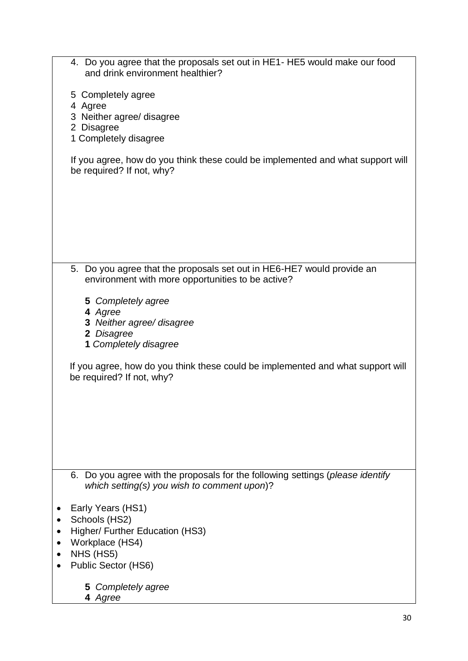| 4. Do you agree that the proposals set out in HE1- HE5 would make our food<br>and drink environment healthier?              |
|-----------------------------------------------------------------------------------------------------------------------------|
| 5 Completely agree                                                                                                          |
| 4 Agree<br>3 Neither agree/ disagree                                                                                        |
| 2 Disagree                                                                                                                  |
| 1 Completely disagree                                                                                                       |
| If you agree, how do you think these could be implemented and what support will<br>be required? If not, why?                |
|                                                                                                                             |
|                                                                                                                             |
|                                                                                                                             |
|                                                                                                                             |
| 5. Do you agree that the proposals set out in HE6-HE7 would provide an<br>environment with more opportunities to be active? |
| 5 Completely agree                                                                                                          |
| 4 Agree<br>3 Neither agree/ disagree                                                                                        |
| 2 Disagree                                                                                                                  |
| 1 Completely disagree                                                                                                       |
| If you agree, how do you think these could be implemented and what support will<br>be required? If not, why?                |
|                                                                                                                             |
|                                                                                                                             |
|                                                                                                                             |
|                                                                                                                             |
|                                                                                                                             |
| 6. Do you agree with the proposals for the following settings (please identify                                              |
| which setting(s) you wish to comment upon)?                                                                                 |
| Early Years (HS1)                                                                                                           |
| Schools (HS2)                                                                                                               |
| Higher/ Further Education (HS3)                                                                                             |
| Workplace (HS4)<br>NHS (HS5)                                                                                                |
| Public Sector (HS6)                                                                                                         |
| 5 Completely agree                                                                                                          |
| 4 Agree                                                                                                                     |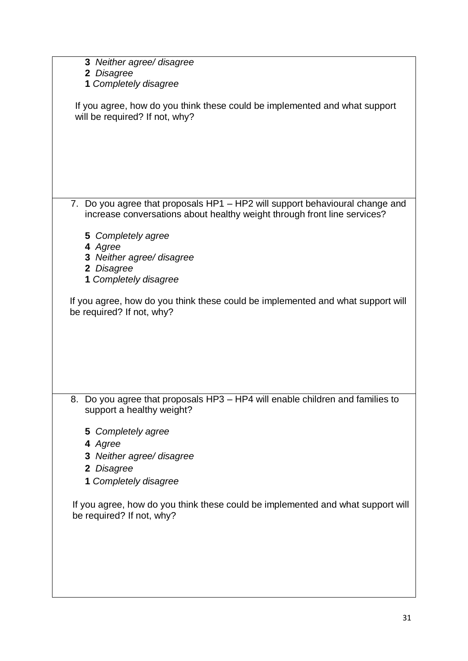| 3 Neither agree/ disagree                                                                                                                                |
|----------------------------------------------------------------------------------------------------------------------------------------------------------|
| 2 Disagree                                                                                                                                               |
| 1 Completely disagree                                                                                                                                    |
|                                                                                                                                                          |
| If you agree, how do you think these could be implemented and what support<br>will be required? If not, why?                                             |
|                                                                                                                                                          |
|                                                                                                                                                          |
|                                                                                                                                                          |
|                                                                                                                                                          |
|                                                                                                                                                          |
|                                                                                                                                                          |
|                                                                                                                                                          |
| 7. Do you agree that proposals HP1 - HP2 will support behavioural change and<br>increase conversations about healthy weight through front line services? |
|                                                                                                                                                          |
| 5 Completely agree                                                                                                                                       |
| 4 Agree                                                                                                                                                  |
| 3 Neither agree/ disagree                                                                                                                                |
| 2 Disagree                                                                                                                                               |
| 1 Completely disagree                                                                                                                                    |
| If you agree, how do you think these could be implemented and what support will<br>be required? If not, why?                                             |
|                                                                                                                                                          |
|                                                                                                                                                          |
|                                                                                                                                                          |
|                                                                                                                                                          |
|                                                                                                                                                          |
|                                                                                                                                                          |
| 8. Do you agree that proposals HP3 - HP4 will enable children and families to                                                                            |
| support a healthy weight?                                                                                                                                |
|                                                                                                                                                          |
| 5 Completely agree                                                                                                                                       |
| 4 Agree                                                                                                                                                  |
|                                                                                                                                                          |
| 3 Neither agree/ disagree                                                                                                                                |
| 2 Disagree                                                                                                                                               |
| 1 Completely disagree                                                                                                                                    |
|                                                                                                                                                          |
| If you agree, how do you think these could be implemented and what support will<br>be required? If not, why?                                             |
|                                                                                                                                                          |
|                                                                                                                                                          |
|                                                                                                                                                          |
|                                                                                                                                                          |
|                                                                                                                                                          |
|                                                                                                                                                          |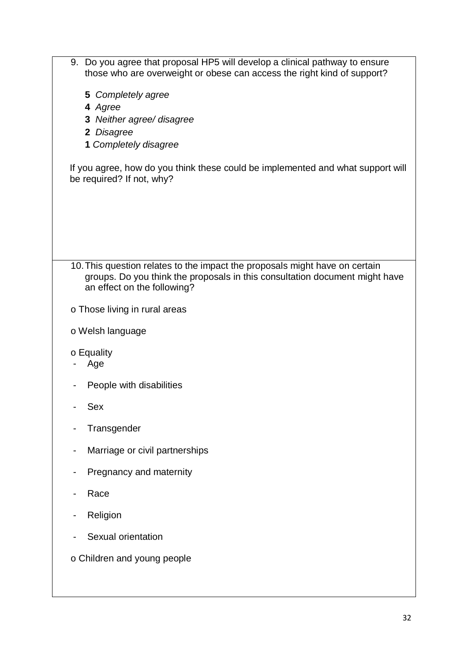| 9. Do you agree that proposal HP5 will develop a clinical pathway to ensure<br>those who are overweight or obese can access the right kind of support?                                    |
|-------------------------------------------------------------------------------------------------------------------------------------------------------------------------------------------|
| 5 Completely agree                                                                                                                                                                        |
| 4 Agree                                                                                                                                                                                   |
| 3 Neither agree/ disagree<br>2 Disagree                                                                                                                                                   |
| 1 Completely disagree                                                                                                                                                                     |
| If you agree, how do you think these could be implemented and what support will<br>be required? If not, why?                                                                              |
|                                                                                                                                                                                           |
| 10. This question relates to the impact the proposals might have on certain<br>groups. Do you think the proposals in this consultation document might have<br>an effect on the following? |
| o Those living in rural areas                                                                                                                                                             |
| o Welsh language                                                                                                                                                                          |
| o Equality<br>Age                                                                                                                                                                         |
| People with disabilities                                                                                                                                                                  |
| Sex                                                                                                                                                                                       |
| Transgender                                                                                                                                                                               |
| Marriage or civil partnerships                                                                                                                                                            |
| Pregnancy and maternity                                                                                                                                                                   |
| Race                                                                                                                                                                                      |
| Religion                                                                                                                                                                                  |
| Sexual orientation                                                                                                                                                                        |
| o Children and young people                                                                                                                                                               |
|                                                                                                                                                                                           |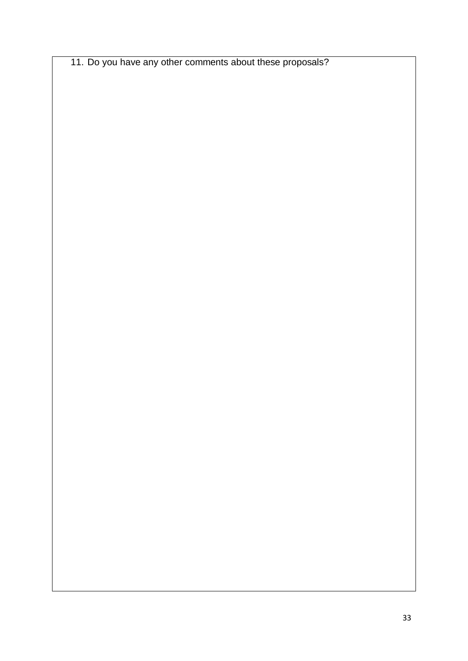11. Do you have any other comments about these proposals?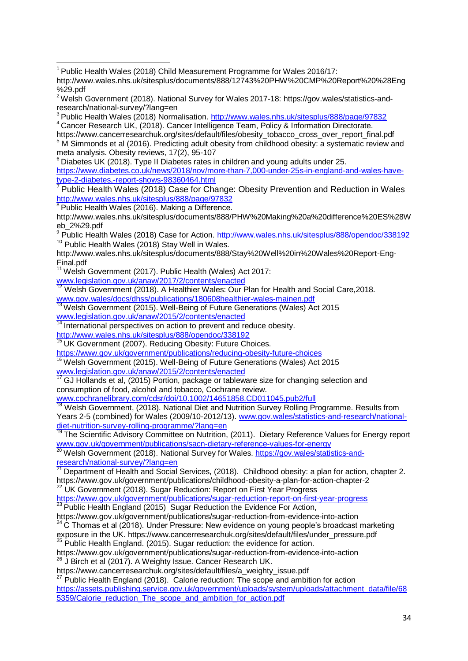$6$  Diabetes UK (2018). Type II Diabetes rates in children and young adults under 25. [https://www.diabetes.co.uk/news/2018/nov/more-than-7,000-under-25s-in-england-and-wales-have](https://www.diabetes.co.uk/news/2018/nov/more-than-7,000-under-25s-in-england-and-wales-have-type-2-diabetes,-report-shows-98360464.html)[type-2-diabetes,-report-shows-98360464.html](https://www.diabetes.co.uk/news/2018/nov/more-than-7,000-under-25s-in-england-and-wales-have-type-2-diabetes,-report-shows-98360464.html)

 $8$  Public Health Wales (2016). Making a Difference.

<sup>9</sup> Public Health Wales (2018) Case for Action.<http://www.wales.nhs.uk/sitesplus/888/opendoc/338192> <sup>10</sup> Public Health Wales (2018) Stay Well in Wales.

[http://www.wales.nhs.uk/sitesplus/documents/888/Stay%20Well%20in%20Wales%20Report-Eng-](http://www.wales.nhs.uk/sitesplus/documents/888/Stay%20Well%20in%20Wales%20Report-Eng-Final.pdf)[Final.pdf](http://www.wales.nhs.uk/sitesplus/documents/888/Stay%20Well%20in%20Wales%20Report-Eng-Final.pdf)

<sup>11</sup> Welsh Government (2017). Public Health (Wales) Act 2017: [www.legislation.gov.uk/anaw/2017/2/contents/enacted](http://www.legislation.gov.uk/anaw/2017/2/contents/enacted)

 $12$  Welsh Government (2018). A Healthier Wales: Our Plan for Health and Social Care, 2018. [www.gov.wales/docs/dhss/publications/180608healthier-wales-mainen.pdf](http://www.gov.wales/docs/dhss/publications/180608healthier-wales-mainen.pdf)

<sup>13</sup> Welsh Government (2015). Well-Being of Future Generations (Wales) Act 2015 [www.legislation.gov.uk/anaw/2015/2/contents/enacted](http://www.legislation.gov.uk/anaw/2015/2/contents/enacted)

 $14$  International perspectives on action to prevent and reduce obesity.

<http://www.wales.nhs.uk/sitesplus/888/opendoc/338192>

<sup>15</sup> UK Government (2007). Reducing Obesity: Future Choices.

<https://www.gov.uk/government/publications/reducing-obesity-future-choices>

<sup>16</sup> Welsh Government (2015). Well-Being of Future Generations (Wales) Act 2015 [www.legislation.gov.uk/anaw/2015/2/contents/enacted](http://www.legislation.gov.uk/anaw/2015/2/contents/enacted)

 $17$  GJ Hollands et al, (2015) Portion, package or tableware size for changing selection and consumption of food, alcohol and tobacco, Cochrane review.

[www.cochranelibrary.com/cdsr/doi/10.1002/14651858.CD011045.pub2/full](http://www.cochranelibrary.com/cdsr/doi/10.1002/14651858.CD011045.pub2/full)<br><sup>18</sup> Moleb Causeway of (2013)

<sup>18</sup> Welsh Government, (2018). National Diet and Nutrition Survey Rolling Programme. Results from Years 2-5 (combined) for Wales (2009/10-2012/13). [www.gov.wales/statistics-and-research/national](http://www.gov.wales/statistics-and-research/national-diet-nutrition-survey-rolling-programme/?lang=en)[diet-nutrition-survey-rolling-programme/?lang=en](http://www.gov.wales/statistics-and-research/national-diet-nutrition-survey-rolling-programme/?lang=en)

<sup>19</sup> The Scientific Advisory Committee on Nutrition, (2011). Dietary Reference Values for Energy report [www.gov.uk/government/publications/sacn-dietary-reference-values-for-energy](http://www.gov.uk/government/publications/sacn-dietary-reference-values-for-energy) 

<sup>20</sup> Welsh Government (2018). National Survey for Wales. [https://gov.wales/statistics-and](https://gov.wales/statistics-and-research/national-survey/?lang=en)[research/national-survey/?lang=en](https://gov.wales/statistics-and-research/national-survey/?lang=en)

**Department of Health and Social Services, (2018). Childhood obesity: a plan for action, chapter 2.** <https://www.gov.uk/government/publications/childhood-obesity-a-plan-for-action-chapter-2>

22 UK Government (2018). Sugar Reduction: Report on First Year Progress

<https://www.gov.uk/government/publications/sugar-reduction-report-on-first-year-progress>

 $^{23}$  Public Health England (2015) Sugar Reduction the Evidence For Action,

<https://www.gov.uk/government/publications/sugar-reduction-from-evidence-into-action>  $24$  C Thomas et al (2018). Under Pressure: New evidence on young people's broadcast marketing exposure in the UK[. https://www.cancerresearchuk.org/sites/default/files/under\\_pressure.pdf](https://www.cancerresearchuk.org/sites/default/files/under_pressure.pdf)

 $25$  Public Health England. (2015). Sugar reduction: the evidence for action.

<https://www.gov.uk/government/publications/sugar-reduction-from-evidence-into-action>  $^{26}$  J Birch et al (2017). A Weighty Issue. Cancer Research UK.

[https://www.cancerresearchuk.org/sites/default/files/a\\_weighty\\_issue.pdf](https://www.cancerresearchuk.org/sites/default/files/a_weighty_issue.pdf)

 $27$  Public Health England (2018). Calorie reduction: The scope and ambition for action [https://assets.publishing.service.gov.uk/government/uploads/system/uploads/attachment\\_data/file/68](https://assets.publishing.service.gov.uk/government/uploads/system/uploads/attachment_data/file/685359/Calorie_reduction_The_scope_and_ambition_for_action.pdf) [5359/Calorie\\_reduction\\_The\\_scope\\_and\\_ambition\\_for\\_action.pdf](https://assets.publishing.service.gov.uk/government/uploads/system/uploads/attachment_data/file/685359/Calorie_reduction_The_scope_and_ambition_for_action.pdf)

 $\overline{\phantom{a}}$  $1$  Public Health Wales (2018) Child Measurement Programme for Wales 2016/17:

[http://www.wales.nhs.uk/sitesplus/documents/888/12743%20PHW%20CMP%20Report%20%28Eng](http://www.wales.nhs.uk/sitesplus/documents/888/12743%20PHW%20CMP%20Report%20%28Eng%29.pdf) [%29.pdf](http://www.wales.nhs.uk/sitesplus/documents/888/12743%20PHW%20CMP%20Report%20%28Eng%29.pdf)

<sup>&</sup>lt;sup>2</sup> Welsh Government (2018). National Survey for Wales 2017-18: [https://gov.wales/statistics-and](https://gov.wales/statistics-and-research/national-survey/?lang=en)[research/national-survey/?lang=en](https://gov.wales/statistics-and-research/national-survey/?lang=en)

<sup>&</sup>lt;sup>3</sup> Public Health Wales (2018) Normalisation. [http://www.wales.nhs.uk/sitesplus/888/page/97832](https://emea01.safelinks.protection.outlook.com/?url=http%3A%2F%2Fwww.wales.nhs.uk%2Fsitesplus%2F888%2Fpage%2F97832&data=02%7C01%7CNathan.Cook%40gov.wales%7C24cd247b47d44fcc587308d676dc298f%7Ca2cc36c592804ae78887d06dab89216b%7C0%7C0%7C636827085349621936&sdata=T0SUdbd40Pk753bWd8R6cQRGjl%2FGUmxOUQo4Y8X16t0%3D&reserved=0) <sup>4</sup> Cancer Research UK, (2018). Cancer Intelligence Team, Policy & Information Directorate.

[https://www.cancerresearchuk.org/sites/default/files/obesity\\_tobacco\\_cross\\_over\\_report\\_final.pdf](https://www.cancerresearchuk.org/sites/default/files/obesity_tobacco_cross_over_report_final.pdf) <sup>5</sup> M Simmonds et al (2016). Predicting adult obesity from childhood obesity: a systematic review and meta analysis. Obesity reviews, 17(2), 95-107

Public Health Wales (2018) Case for Change: Obesity Prevention and Reduction in Wales [http://www.wales.nhs.uk/sitesplus/888/page/97832](https://emea01.safelinks.protection.outlook.com/?url=http%3A%2F%2Fwww.wales.nhs.uk%2Fsitesplus%2F888%2Fpage%2F97832&data=02%7C01%7CNathan.Cook%40gov.wales%7C24cd247b47d44fcc587308d676dc298f%7Ca2cc36c592804ae78887d06dab89216b%7C0%7C0%7C636827085349621936&sdata=T0SUdbd40Pk753bWd8R6cQRGjl%2FGUmxOUQo4Y8X16t0%3D&reserved=0)

[http://www.wales.nhs.uk/sitesplus/documents/888/PHW%20Making%20a%20difference%20ES%28W](http://www.wales.nhs.uk/sitesplus/documents/888/PHW%20Making%20a%20difference%20ES%28Web_2%29.pdf) [eb\\_2%29.pdf](http://www.wales.nhs.uk/sitesplus/documents/888/PHW%20Making%20a%20difference%20ES%28Web_2%29.pdf)